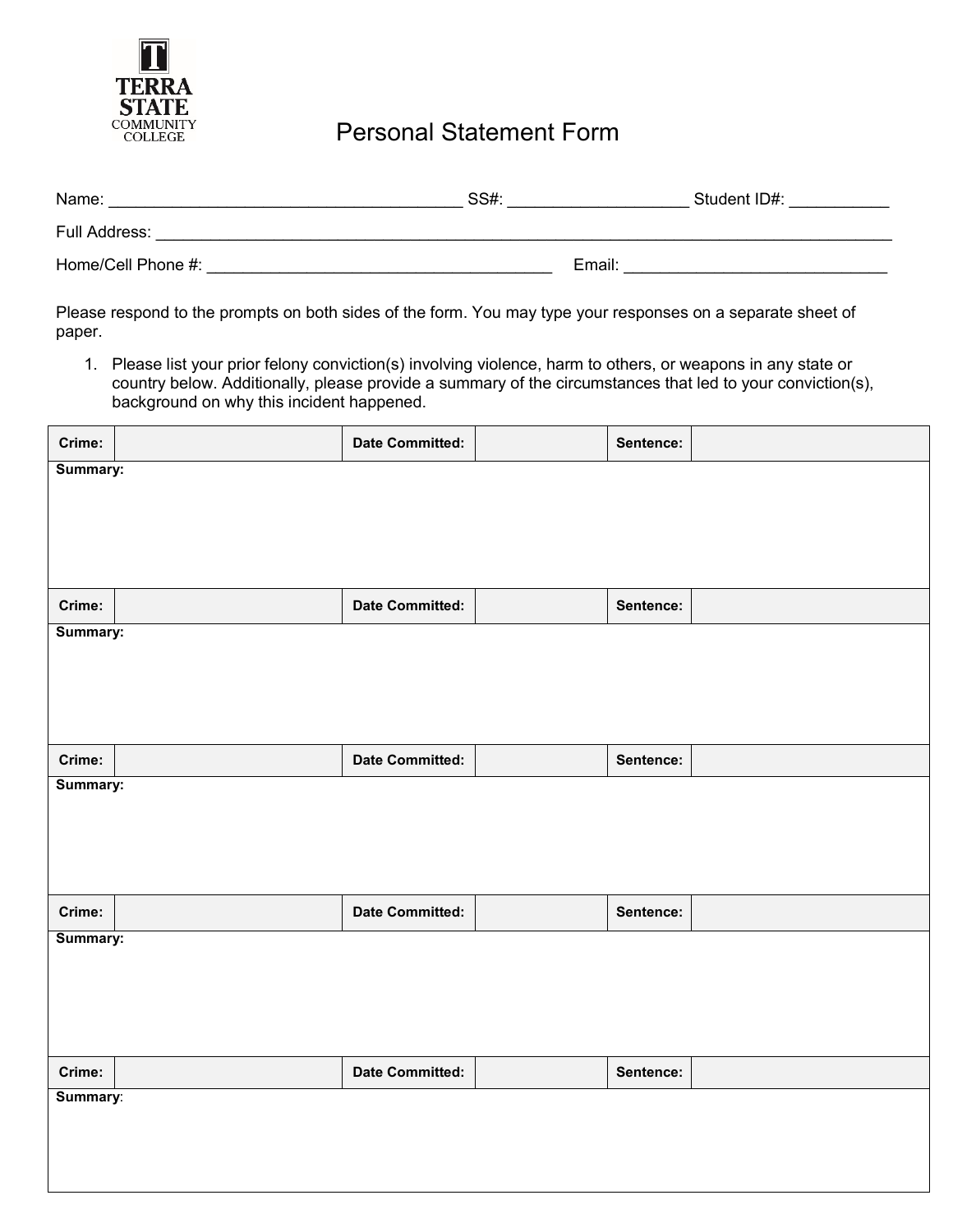

## Personal Statement Form

| Name:              | SS#:   | Student ID#: |
|--------------------|--------|--------------|
| Full Address:      |        |              |
| Home/Cell Phone #: | Email: |              |

Please respond to the prompts on both sides of the form. You may type your responses on a separate sheet of paper.

1. Please list your prior felony conviction(s) involving violence, harm to others, or weapons in any state or country below. Additionally, please provide a summary of the circumstances that led to your conviction(s), background on why this incident happened.

| Crime:   | <b>Date Committed:</b> | Sentence: |  |
|----------|------------------------|-----------|--|
| Summary: |                        |           |  |
|          |                        |           |  |
|          |                        |           |  |
|          |                        |           |  |
| Crime:   | <b>Date Committed:</b> | Sentence: |  |
| Summary: |                        |           |  |
|          |                        |           |  |
|          |                        |           |  |
|          |                        |           |  |
| Crime:   | <b>Date Committed:</b> | Sentence: |  |
| Summary: |                        |           |  |
|          |                        |           |  |
|          |                        |           |  |
|          |                        |           |  |
| Crime:   | <b>Date Committed:</b> | Sentence: |  |
| Summary: |                        |           |  |
|          |                        |           |  |
|          |                        |           |  |
|          |                        |           |  |
| Crime:   | <b>Date Committed:</b> | Sentence: |  |
| Summary: |                        |           |  |
|          |                        |           |  |
|          |                        |           |  |
|          |                        |           |  |